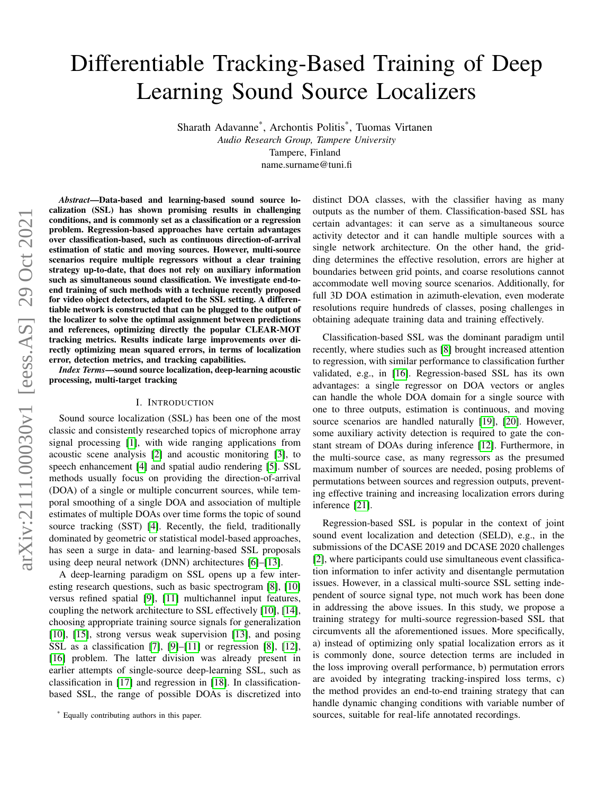# Differentiable Tracking-Based Training of Deep Learning Sound Source Localizers

Sharath Adavanne\* , Archontis Politis\* , Tuomas Virtanen *Audio Research Group, Tampere University* Tampere, Finland name.surname@tuni.fi

*Abstract*—Data-based and learning-based sound source localization (SSL) has shown promising results in challenging conditions, and is commonly set as a classification or a regression problem. Regression-based approaches have certain advantages over classification-based, such as continuous direction-of-arrival estimation of static and moving sources. However, multi-source scenarios require multiple regressors without a clear training strategy up-to-date, that does not rely on auxiliary information such as simultaneous sound classification. We investigate end-toend training of such methods with a technique recently proposed for video object detectors, adapted to the SSL setting. A differentiable network is constructed that can be plugged to the output of the localizer to solve the optimal assignment between predictions and references, optimizing directly the popular CLEAR-MOT tracking metrics. Results indicate large improvements over directly optimizing mean squared errors, in terms of localization error, detection metrics, and tracking capabilities.

*Index Terms*—sound source localization, deep-learning acoustic processing, multi-target tracking

# I. INTRODUCTION

Sound source localization (SSL) has been one of the most classic and consistently researched topics of microphone array signal processing [\[1\]](#page-3-0), with wide ranging applications from acoustic scene analysis [\[2\]](#page-4-0) and acoustic monitoring [\[3\]](#page-4-1), to speech enhancement [\[4\]](#page-4-2) and spatial audio rendering [\[5\]](#page-4-3). SSL methods usually focus on providing the direction-of-arrival (DOA) of a single or multiple concurrent sources, while temporal smoothing of a single DOA and association of multiple estimates of multiple DOAs over time forms the topic of sound source tracking (SST) [\[4\]](#page-4-2). Recently, the field, traditionally dominated by geometric or statistical model-based approaches, has seen a surge in data- and learning-based SSL proposals using deep neural network (DNN) architectures [\[6\]](#page-4-4)–[\[13\]](#page-4-5).

A deep-learning paradigm on SSL opens up a few interesting research questions, such as basic spectrogram [\[8\]](#page-4-6), [\[10\]](#page-4-7) versus refined spatial [\[9\]](#page-4-8), [\[11\]](#page-4-9) multichannel input features, coupling the network architecture to SSL effectively [\[10\]](#page-4-7), [\[14\]](#page-4-10), choosing appropriate training source signals for generalization [\[10\]](#page-4-7), [\[15\]](#page-4-11), strong versus weak supervision [\[13\]](#page-4-5), and posing SSL as a classification [\[7\]](#page-4-12), [\[9\]](#page-4-8)–[\[11\]](#page-4-9) or regression [\[8\]](#page-4-6), [\[12\]](#page-4-13), [\[16\]](#page-4-14) problem. The latter division was already present in earlier attempts of single-source deep-learning SSL, such as classification in [\[17\]](#page-4-15) and regression in [\[18\]](#page-4-16). In classificationbased SSL, the range of possible DOAs is discretized into distinct DOA classes, with the classifier having as many outputs as the number of them. Classification-based SSL has certain advantages: it can serve as a simultaneous source activity detector and it can handle multiple sources with a single network architecture. On the other hand, the gridding determines the effective resolution, errors are higher at boundaries between grid points, and coarse resolutions cannot accommodate well moving source scenarios. Additionally, for full 3D DOA estimation in azimuth-elevation, even moderate resolutions require hundreds of classes, posing challenges in obtaining adequate training data and training effectively.

Classification-based SSL was the dominant paradigm until recently, where studies such as [\[8\]](#page-4-6) brought increased attention to regression, with similar performance to classification further validated, e.g., in [\[16\]](#page-4-14). Regression-based SSL has its own advantages: a single regressor on DOA vectors or angles can handle the whole DOA domain for a single source with one to three outputs, estimation is continuous, and moving source scenarios are handled naturally [\[19\]](#page-4-17), [\[20\]](#page-4-18). However, some auxiliary activity detection is required to gate the constant stream of DOAs during inference [\[12\]](#page-4-13). Furthermore, in the multi-source case, as many regressors as the presumed maximum number of sources are needed, posing problems of permutations between sources and regression outputs, preventing effective training and increasing localization errors during inference [\[21\]](#page-4-19).

Regression-based SSL is popular in the context of joint sound event localization and detection (SELD), e.g., in the submissions of the DCASE 2019 and DCASE 2020 challenges [\[2\]](#page-4-0), where participants could use simultaneous event classification information to infer activity and disentangle permutation issues. However, in a classical multi-source SSL setting independent of source signal type, not much work has been done in addressing the above issues. In this study, we propose a training strategy for multi-source regression-based SSL that circumvents all the aforementioned issues. More specifically, a) instead of optimizing only spatial localization errors as it is commonly done, source detection terms are included in the loss improving overall performance, b) permutation errors are avoided by integrating tracking-inspired loss terms, c) the method provides an end-to-end training strategy that can handle dynamic changing conditions with variable number of sources, suitable for real-life annotated recordings.

<sup>\*</sup> Equally contributing authors in this paper.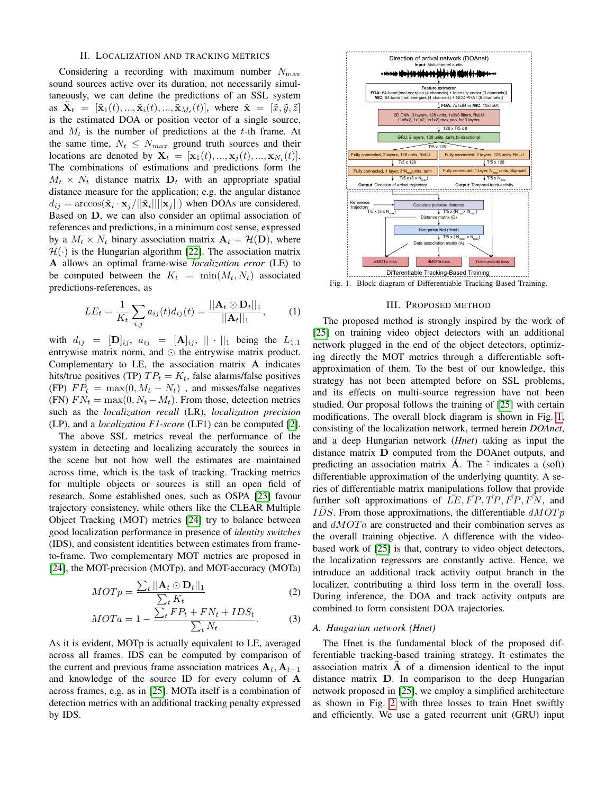#### II. LOCALIZATION AND TRACKING METRICS

Considering a recording with maximum number  $N_{\text{max}}$ sound sources active over its duration, not necessarily simultaneously, we can define the predictions of an SSL system as  $\tilde{\mathbf{X}}_t = [\tilde{\mathbf{x}}_1(t), ..., \tilde{\mathbf{x}}_i(t), ..., \tilde{\mathbf{x}}_{M_t}(t)],$  where  $\tilde{\mathbf{x}} = [\tilde{x}, \tilde{y}, \tilde{z}]$ is the estimated DOA or position vector of a single source, and  $M_t$  is the number of predictions at the t-th frame. At the same time,  $N_t \leq N_{max}$  ground truth sources and their locations are denoted by  $\mathbf{X}_t = [\mathbf{x}_1(t), ..., \mathbf{x}_j(t), ..., \mathbf{x}_{N_t}(t)].$ The combinations of estimations and predictions form the  $M_t \times N_t$  distance matrix  $D_t$  with an appropriate spatial distance measure for the application; e.g. the angular distance  $d_{ij} = \arccos(\tilde{\mathbf{x}}_i \cdot \mathbf{x}_j/||\tilde{\mathbf{x}}_i||||\mathbf{x}_j||)$  when DOAs are considered. Based on D, we can also consider an optimal association of references and predictions, in a minimum cost sense, expressed by a  $M_t \times N_t$  binary association matrix  $A_t = \mathcal{H}(\mathbf{D})$ , where  $\mathcal{H}(\cdot)$  is the Hungarian algorithm [\[22\]](#page-4-20). The association matrix A allows an optimal frame-wise *localization error* (LE) to be computed between the  $K_t = \min(M_t, N_t)$  associated predictions-references, as

$$
LE_t = \frac{1}{K_t} \sum_{i,j} a_{ij}(t) d_{ij}(t) = \frac{||\mathbf{A}_t \odot \mathbf{D}_t||_1}{||\mathbf{A}_t||_1}, \quad (1)
$$

with  $d_{ij} = [\mathbf{D}]_{ij}, a_{ij} = [\mathbf{A}]_{ij}, || \cdot ||_1$  being the  $L_{1,1}$ entrywise matrix norm, and  $\odot$  the entrywise matrix product. Complementary to LE, the association matrix A indicates hits/true positives (TP)  $TP_t = K_t$ , false alarms/false positives (FP)  $FP_t = \max(0, M_t - N_t)$ , and misses/false negatives (FN)  $FN_t = \max(0, N_t - M_t)$ . From those, detection metrics such as the *localization recall* (LR), *localization precision* (LP), and a *localization F1-score* (LF1) can be computed [\[2\]](#page-4-0).

The above SSL metrics reveal the performance of the system in detecting and localizing accurately the sources in the scene but not how well the estimates are maintained across time, which is the task of tracking. Tracking metrics for multiple objects or sources is still an open field of research. Some established ones, such as OSPA [\[23\]](#page-4-21) favour trajectory consistency, while others like the CLEAR Multiple Object Tracking (MOT) metrics [\[24\]](#page-4-22) try to balance between good localization performance in presence of *identity switches* (IDS), and consistent identities between estimates from frameto-frame. Two complementary MOT metrics are proposed in [\[24\]](#page-4-22), the MOT-precision (MOTp), and MOT-accuracy (MOTa)

$$
MOTp = \frac{\sum_{t} ||\mathbf{A}_t \odot \mathbf{D}_t||_1}{\sum_{t} K_t}
$$
 (2)

$$
MOTA = 1 - \frac{\sum_{t} FP_{t} + FN_{t} + IDs_{t}}{\sum_{t} N_{t}}.
$$
 (3)

As it is evident, MOTp is actually equivalent to LE, averaged across all frames. IDS can be computed by comparison of the current and previous frame association matrices  $A_t$ ,  $A_{t-1}$ and knowledge of the source ID for every column of A across frames, e.g. as in [\[25\]](#page-4-23). MOTa itself is a combination of detection metrics with an additional tracking penalty expressed by IDS.



<span id="page-1-0"></span>Fig. 1. Block diagram of Differentiable Tracking-Based Training.

### III. PROPOSED METHOD

The proposed method is strongly inspired by the work of [\[25\]](#page-4-23) on training video object detectors with an additional network plugged in the end of the object detectors, optimizing directly the MOT metrics through a differentiable softapproximation of them. To the best of our knowledge, this strategy has not been attempted before on SSL problems, and its effects on multi-source regression have not been studied. Our proposal follows the training of [\[25\]](#page-4-23) with certain modifications. The overall block diagram is shown in Fig. [1,](#page-1-0) consisting of the localization network, termed herein *DOAnet*, and a deep Hungarian network (*Hnet*) taking as input the distance matrix D computed from the DOAnet outputs, and predicting an association matrix **A**. The  $\tilde{\cdot}$  indicates a (soft) differentiable approximation of the underlying quantity. A series of differentiable matrix manipulations follow that provide further soft approximations of  $LE, FP, TP, FP, FN$ , and IDS. From those approximations, the differentiable  $dMOTp$ and  $dMOTa$  are constructed and their combination serves as the overall training objective. A difference with the videobased work of [\[25\]](#page-4-23) is that, contrary to video object detectors, the localization regressors are constantly active. Hence, we introduce an additional track activity output branch in the localizer, contributing a third loss term in the overall loss. During inference, the DOA and track activity outputs are combined to form consistent DOA trajectories.

# *A. Hungarian network (Hnet)*

The Hnet is the fundamental block of the proposed differentiable tracking-based training strategy. It estimates the association matrix  $\overrightarrow{A}$  of a dimension identical to the input distance matrix D. In comparison to the deep Hungarian network proposed in [\[25\]](#page-4-23), we employ a simplified architecture as shown in Fig. [2](#page-2-0) with three losses to train Hnet swiftly and efficiently. We use a gated recurrent unit (GRU) input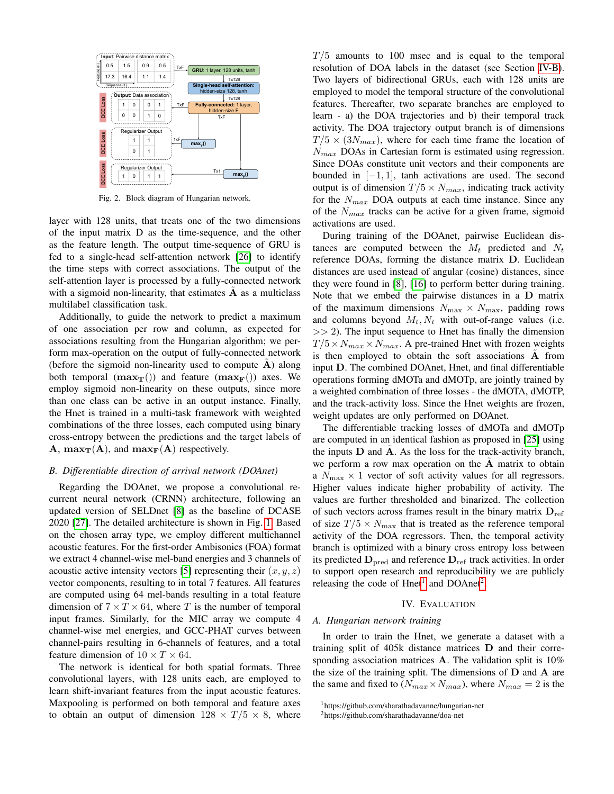

<span id="page-2-0"></span>Fig. 2. Block diagram of Hungarian network.

layer with 128 units, that treats one of the two dimensions of the input matrix D as the time-sequence, and the other as the feature length. The output time-sequence of GRU is fed to a single-head self-attention network [\[26\]](#page-4-24) to identify the time steps with correct associations. The output of the self-attention layer is processed by a fully-connected network with a sigmoid non-linearity, that estimates  $A$  as a multiclass multilabel classification task.

Additionally, to guide the network to predict a maximum of one association per row and column, as expected for associations resulting from the Hungarian algorithm; we perform max-operation on the output of fully-connected network (before the sigmoid non-linearity used to compute  $A$ ) along both temporal  $(\max_{\mathbf{T}}(t))$  and feature  $(\max_{\mathbf{F}}(t))$  axes. We employ sigmoid non-linearity on these outputs, since more than one class can be active in an output instance. Finally, the Hnet is trained in a multi-task framework with weighted combinations of the three losses, each computed using binary cross-entropy between the predictions and the target labels of **A**,  $max_T(A)$ , and  $max_F(A)$  respectively.

#### <span id="page-2-3"></span>*B. Differentiable direction of arrival network (DOAnet)*

Regarding the DOAnet, we propose a convolutional recurrent neural network (CRNN) architecture, following an updated version of SELDnet [\[8\]](#page-4-6) as the baseline of DCASE 2020 [\[27\]](#page-4-25). The detailed architecture is shown in Fig. [1.](#page-1-0) Based on the chosen array type, we employ different multichannel acoustic features. For the first-order Ambisonics (FOA) format we extract 4 channel-wise mel-band energies and 3 channels of acoustic active intensity vectors [\[5\]](#page-4-3) representing their  $(x, y, z)$ vector components, resulting to in total 7 features. All features are computed using 64 mel-bands resulting in a total feature dimension of  $7 \times T \times 64$ , where T is the number of temporal input frames. Similarly, for the MIC array we compute 4 channel-wise mel energies, and GCC-PHAT curves between channel-pairs resulting in 6-channels of features, and a total feature dimension of  $10 \times T \times 64$ .

The network is identical for both spatial formats. Three convolutional layers, with 128 units each, are employed to learn shift-invariant features from the input acoustic features. Maxpooling is performed on both temporal and feature axes to obtain an output of dimension  $128 \times T/5 \times 8$ , where  $T/5$  amounts to 100 msec and is equal to the temporal resolution of DOA labels in the dataset (see Section [IV-B\)](#page-3-1). Two layers of bidirectional GRUs, each with 128 units are employed to model the temporal structure of the convolutional features. Thereafter, two separate branches are employed to learn - a) the DOA trajectories and b) their temporal track activity. The DOA trajectory output branch is of dimensions  $T/5 \times (3N_{max})$ , where for each time frame the location of  $N_{max}$  DOAs in Cartesian form is estimated using regression. Since DOAs constitute unit vectors and their components are bounded in  $[-1, 1]$ , tanh activations are used. The second output is of dimension  $T/5 \times N_{max}$ , indicating track activity for the  $N_{max}$  DOA outputs at each time instance. Since any of the  $N_{max}$  tracks can be active for a given frame, sigmoid activations are used.

During training of the DOAnet, pairwise Euclidean distances are computed between the  $M_t$  predicted and  $N_t$ reference DOAs, forming the distance matrix D. Euclidean distances are used instead of angular (cosine) distances, since they were found in [\[8\]](#page-4-6), [\[16\]](#page-4-14) to perform better during training. Note that we embed the pairwise distances in a D matrix of the maximum dimensions  $N_{\text{max}} \times N_{\text{max}}$ , padding rows and columns beyond  $M_t$ ,  $N_t$  with out-of-range values (i.e.  $>> 2$ ). The input sequence to Hnet has finally the dimension  $T/5 \times N_{max} \times N_{max}$ . A pre-trained Hnet with frozen weights is then employed to obtain the soft associations A from input D. The combined DOAnet, Hnet, and final differentiable operations forming dMOTa and dMOTp, are jointly trained by a weighted combination of three losses - the dMOTA, dMOTP, and the track-activity loss. Since the Hnet weights are frozen, weight updates are only performed on DOAnet.

The differentiable tracking losses of dMOTa and dMOTp are computed in an identical fashion as proposed in [\[25\]](#page-4-23) using the inputs  $D$  and  $A$ . As the loss for the track-activity branch, we perform a row max operation on the  $A$  matrix to obtain a  $N_{\text{max}} \times 1$  vector of soft activity values for all regressors. Higher values indicate higher probability of activity. The values are further thresholded and binarized. The collection of such vectors across frames result in the binary matrix  $D_{ref}$ of size  $T/5 \times N_{\text{max}}$  that is treated as the reference temporal activity of the DOA regressors. Then, the temporal activity branch is optimized with a binary cross entropy loss between its predicted  $D_{pred}$  and reference  $D_{ref}$  track activities. In order to support open research and reproducibility we are publicly releasing the code of  $Hnet<sup>1</sup>$  $Hnet<sup>1</sup>$  $Hnet<sup>1</sup>$  and DOAnet<sup>[2](#page-2-2)</sup>.

#### IV. EVALUATION

#### *A. Hungarian network training*

In order to train the Hnet, we generate a dataset with a training split of 405k distance matrices D and their corresponding association matrices  $A$ . The validation split is 10% the size of the training split. The dimensions of D and A are the same and fixed to  $(N_{max} \times N_{max})$ , where  $N_{max} = 2$  is the

<span id="page-2-1"></span><sup>1</sup>https://github.com/sharathadavanne/hungarian-net

<span id="page-2-2"></span><sup>2</sup>https://github.com/sharathadavanne/doa-net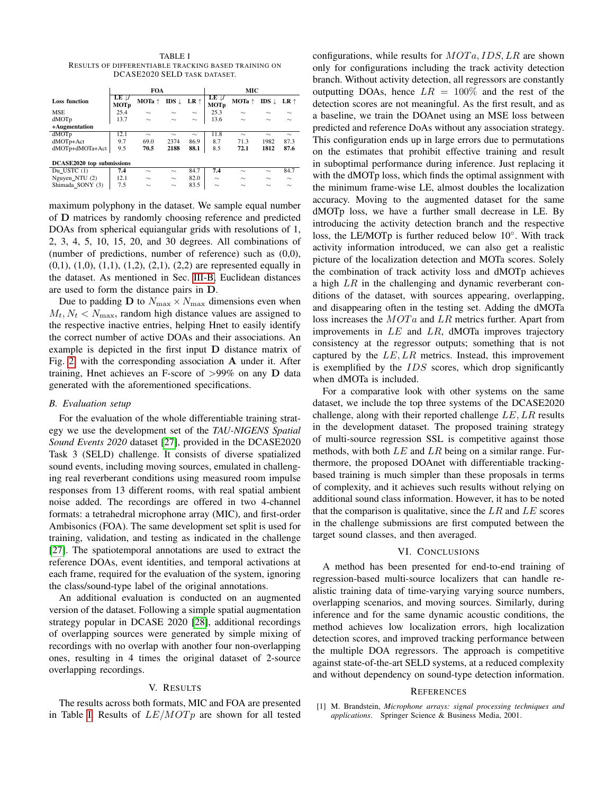<span id="page-3-2"></span>

| TABLE I                                              |
|------------------------------------------------------|
| RESULTS OF DIFFERENTIABLE TRACKING BASED TRAINING ON |
| DCASE2020 SELD TASK DATASET.                         |

|                                  | <b>FOA</b>                     |                   |                  |               | MIC                                          |        |                  |        |  |
|----------------------------------|--------------------------------|-------------------|------------------|---------------|----------------------------------------------|--------|------------------|--------|--|
| <b>Loss function</b>             | $LE \downarrow$<br><b>MOTp</b> | $MOTA$ $\uparrow$ | IDS $\downarrow$ | $LR \uparrow$ | $LE$ $\downarrow$<br><b>MOT</b> <sub>p</sub> | MOTa ↑ | IDS $\downarrow$ | LR ↑   |  |
| <b>MSE</b>                       | 25.4                           | $\sim$            | $\sim$           | $\sim$        | 25.3                                         | $\sim$ | $\sim$           | $\sim$ |  |
| dMOTp                            | 13.7                           | $\sim$            | $\sim$           | $\sim$        | 13.6                                         | $\sim$ | $\sim$           | $\sim$ |  |
| +Augmentation                    |                                |                   |                  |               |                                              |        |                  |        |  |
| dMOTp                            | 12.1                           | $\sim$            | $\sim$           | $\sim$        | 11.8                                         | $\sim$ | $\sim$           | $\sim$ |  |
| dMOTp+Act                        | 9.7                            | 69.0              | 2374             | 86.9          | 8.7                                          | 71.3   | 1982             | 87.3   |  |
| dMOTp+dMOTa+Act                  | 9.5                            | 70.5              | 2188             | 88.1          | 8.5                                          | 72.1   | 1812             | 87.6   |  |
|                                  |                                |                   |                  |               |                                              |        |                  |        |  |
| <b>DCASE2020</b> top submissions |                                |                   |                  |               |                                              |        |                  |        |  |
| Du USTC (1)                      | 7.4                            | $\sim$            | $\sim$           | 84.7          | 7.4                                          | $\sim$ | $\sim$           | 84.7   |  |
| Nguyen_NTU (2)                   | 12.1                           | $\sim$            | $\sim$           | 82.0          | $\sim$                                       | $\sim$ | $\sim$           | $\sim$ |  |
| Shimada SONY (3)                 | 7.5                            | $\sim$            | $\sim$           | 83.5          | $\sim$                                       | $\sim$ | $\sim$           | $\sim$ |  |
|                                  |                                |                   |                  |               |                                              |        |                  |        |  |

maximum polyphony in the dataset. We sample equal number of D matrices by randomly choosing reference and predicted DOAs from spherical equiangular grids with resolutions of 1, 2, 3, 4, 5, 10, 15, 20, and 30 degrees. All combinations of (number of predictions, number of reference) such as (0,0), (0,1), (1,0), (1,1), (1,2), (2,1), (2,2) are represented equally in the dataset. As mentioned in Sec. [III-B,](#page-2-3) Euclidean distances are used to form the distance pairs in D.

Due to padding **D** to  $N_{\text{max}} \times N_{\text{max}}$  dimensions even when  $M_t, N_t < N_{\text{max}}$ , random high distance values are assigned to the respective inactive entries, helping Hnet to easily identify the correct number of active DOAs and their associations. An example is depicted in the first input D distance matrix of Fig. [2,](#page-2-0) with the corresponding association A under it. After training, Hnet achieves an F-score of  $>99\%$  on any D data generated with the aforementioned specifications.

#### <span id="page-3-1"></span>*B. Evaluation setup*

For the evaluation of the whole differentiable training strategy we use the development set of the *TAU-NIGENS Spatial Sound Events 2020* dataset [\[27\]](#page-4-25), provided in the DCASE2020 Task 3 (SELD) challenge. It consists of diverse spatialized sound events, including moving sources, emulated in challenging real reverberant conditions using measured room impulse responses from 13 different rooms, with real spatial ambient noise added. The recordings are offered in two 4-channel formats: a tetrahedral microphone array (MIC), and first-order Ambisonics (FOA). The same development set split is used for training, validation, and testing as indicated in the challenge [\[27\]](#page-4-25). The spatiotemporal annotations are used to extract the reference DOAs, event identities, and temporal activations at each frame, required for the evaluation of the system, ignoring the class/sound-type label of the original annotations.

An additional evaluation is conducted on an augmented version of the dataset. Following a simple spatial augmentation strategy popular in DCASE 2020 [\[28\]](#page-4-26), additional recordings of overlapping sources were generated by simple mixing of recordings with no overlap with another four non-overlapping ones, resulting in 4 times the original dataset of 2-source overlapping recordings.

# V. RESULTS

The results across both formats, MIC and FOA are presented in Table [I.](#page-3-2) Results of  $LE/MOTp$  are shown for all tested configurations, while results for  $MOTA, IDs, LR$  are shown only for configurations including the track activity detection branch. Without activity detection, all regressors are constantly outputting DOAs, hence  $LR = 100\%$  and the rest of the detection scores are not meaningful. As the first result, and as a baseline, we train the DOAnet using an MSE loss between predicted and reference DoAs without any association strategy. This configuration ends up in large errors due to permutations on the estimates that prohibit effective training and result in suboptimal performance during inference. Just replacing it with the dMOTp loss, which finds the optimal assignment with the minimum frame-wise LE, almost doubles the localization accuracy. Moving to the augmented dataset for the same dMOTp loss, we have a further small decrease in LE. By introducing the activity detection branch and the respective loss, the LE/MOTp is further reduced below 10°. With track activity information introduced, we can also get a realistic picture of the localization detection and MOTa scores. Solely the combination of track activity loss and dMOTp achieves a high  $LR$  in the challenging and dynamic reverberant conditions of the dataset, with sources appearing, overlapping, and disappearing often in the testing set. Adding the dMOTa loss increases the  $MOTa$  and LR metrics further. Apart from improvements in  $LE$  and  $LR$ , dMOTa improves trajectory consistency at the regressor outputs; something that is not captured by the  $LE$ ,  $LR$  metrics. Instead, this improvement is exemplified by the IDS scores, which drop significantly when dMOTa is included.

For a comparative look with other systems on the same dataset, we include the top three systems of the DCASE2020 challenge, along with their reported challenge  $LE, LR$  results in the development dataset. The proposed training strategy of multi-source regression SSL is competitive against those methods, with both  $LE$  and  $LR$  being on a similar range. Furthermore, the proposed DOAnet with differentiable trackingbased training is much simpler than these proposals in terms of complexity, and it achieves such results without relying on additional sound class information. However, it has to be noted that the comparison is qualitative, since the  $LR$  and  $LE$  scores in the challenge submissions are first computed between the target sound classes, and then averaged.

# VI. CONCLUSIONS

A method has been presented for end-to-end training of regression-based multi-source localizers that can handle realistic training data of time-varying varying source numbers, overlapping scenarios, and moving sources. Similarly, during inference and for the same dynamic acoustic conditions, the method achieves low localization errors, high localization detection scores, and improved tracking performance between the multiple DOA regressors. The approach is competitive against state-of-the-art SELD systems, at a reduced complexity and without dependency on sound-type detection information.

#### **REFERENCES**

<span id="page-3-0"></span>[1] M. Brandstein, *Microphone arrays: signal processing techniques and applications*. Springer Science & Business Media, 2001.